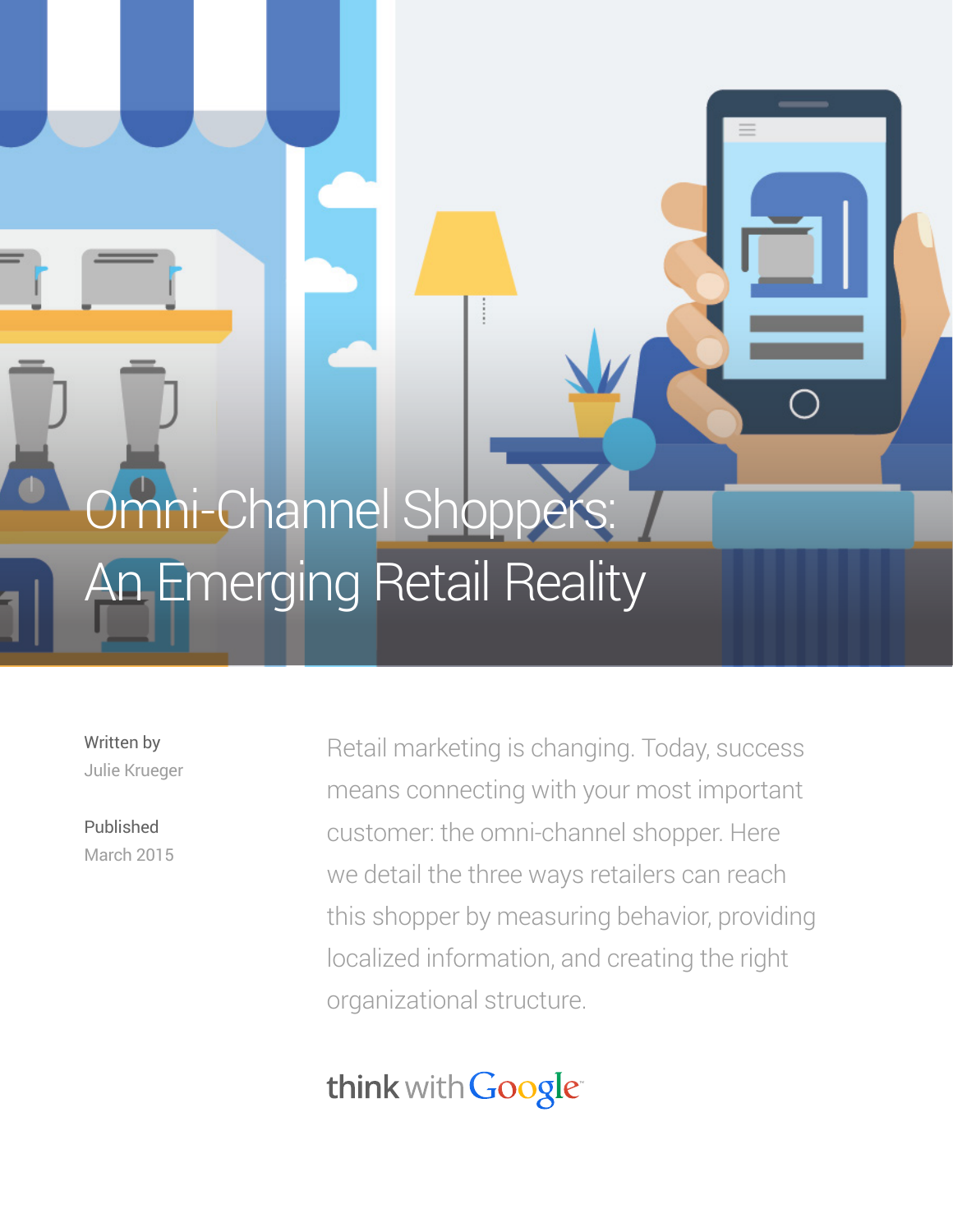# Omni-Channel Shoppers: An Emerging Retail Reality

Written by Julie Krueger

Published March 2015 Retail marketing is changing. Today, success means connecting with your most important customer: the omni-channel shopper. Here we detail the three ways retailers can reach this shopper by measuring behavior, providing localized information, and creating the right organizational structure.

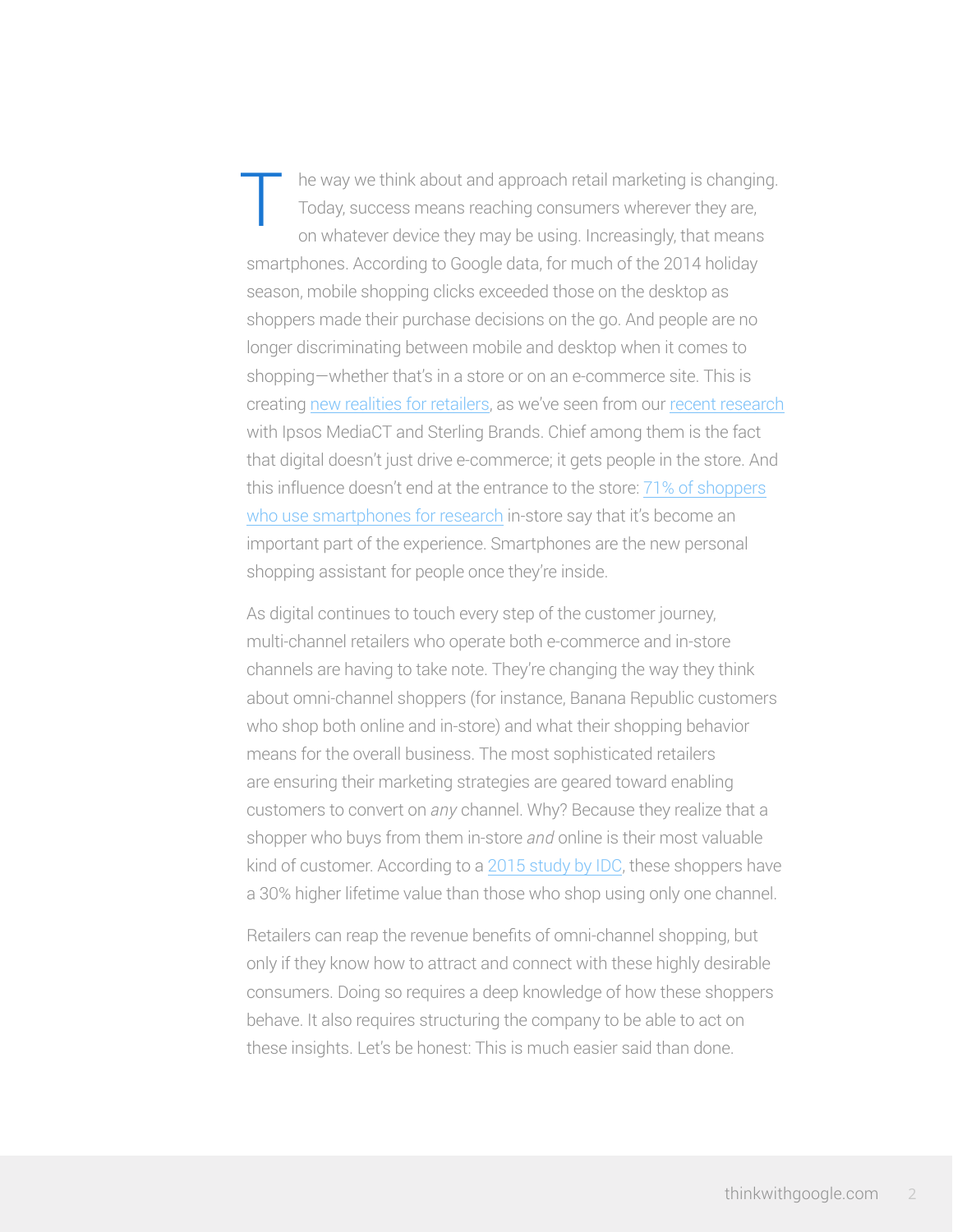he way we think about and approach retail marketing is changing. Today, success means reaching consumers wherever they are, on whatever device they may be using. Increasingly, that means smartphones. According to Google data, for much of the 2014 holiday season, mobile shopping clicks exceeded those on the desktop as shoppers made their purchase decisions on the go. And people are no longer discriminating between mobile and desktop when it comes to shopping—whether that's in a store or on an e-commerce site. This is creating [new realities for retailers,](https://www.thinkwithgoogle.com/articles/3-new-realities-of-local-retail.html) as we've seen from our [recent research](https://www.thinkwithgoogle.com/articles/how-digital-connects-shoppers-to-local-stores.html) with Ipsos MediaCT and Sterling Brands. Chief among them is the fact that digital doesn't just drive e-commerce; it gets people in the store. And this influence doesn't end at the entrance to the store: [71% of shoppers](https://www.thinkwithgoogle.com/articles/how-digital-connects-shoppers-to-local-stores.html) [who use smartphones for research](https://www.thinkwithgoogle.com/articles/how-digital-connects-shoppers-to-local-stores.html) in-store say that it's become an important part of the experience. Smartphones are the new personal shopping assistant for people once they're inside. T

As digital continues to touch every step of the customer journey, multi-channel retailers who operate both e-commerce and in-store channels are having to take note. They're changing the way they think about omni-channel shoppers (for instance, Banana Republic customers who shop both online and in-store) and what their shopping behavior means for the overall business. The most sophisticated retailers are ensuring their marketing strategies are geared toward enabling customers to convert on *any* channel. Why? Because they realize that a shopper who buys from them in-store *and* online is their most valuable kind of customer. According to a [2015 study by IDC,](http://www.idc.com/getdoc.jsp?containerId=252327) these shoppers have a 30% higher lifetime value than those who shop using only one channel.

Retailers can reap the revenue benefits of omni-channel shopping, but only if they know how to attract and connect with these highly desirable consumers. Doing so requires a deep knowledge of how these shoppers behave. It also requires structuring the company to be able to act on these insights. Let's be honest: This is much easier said than done.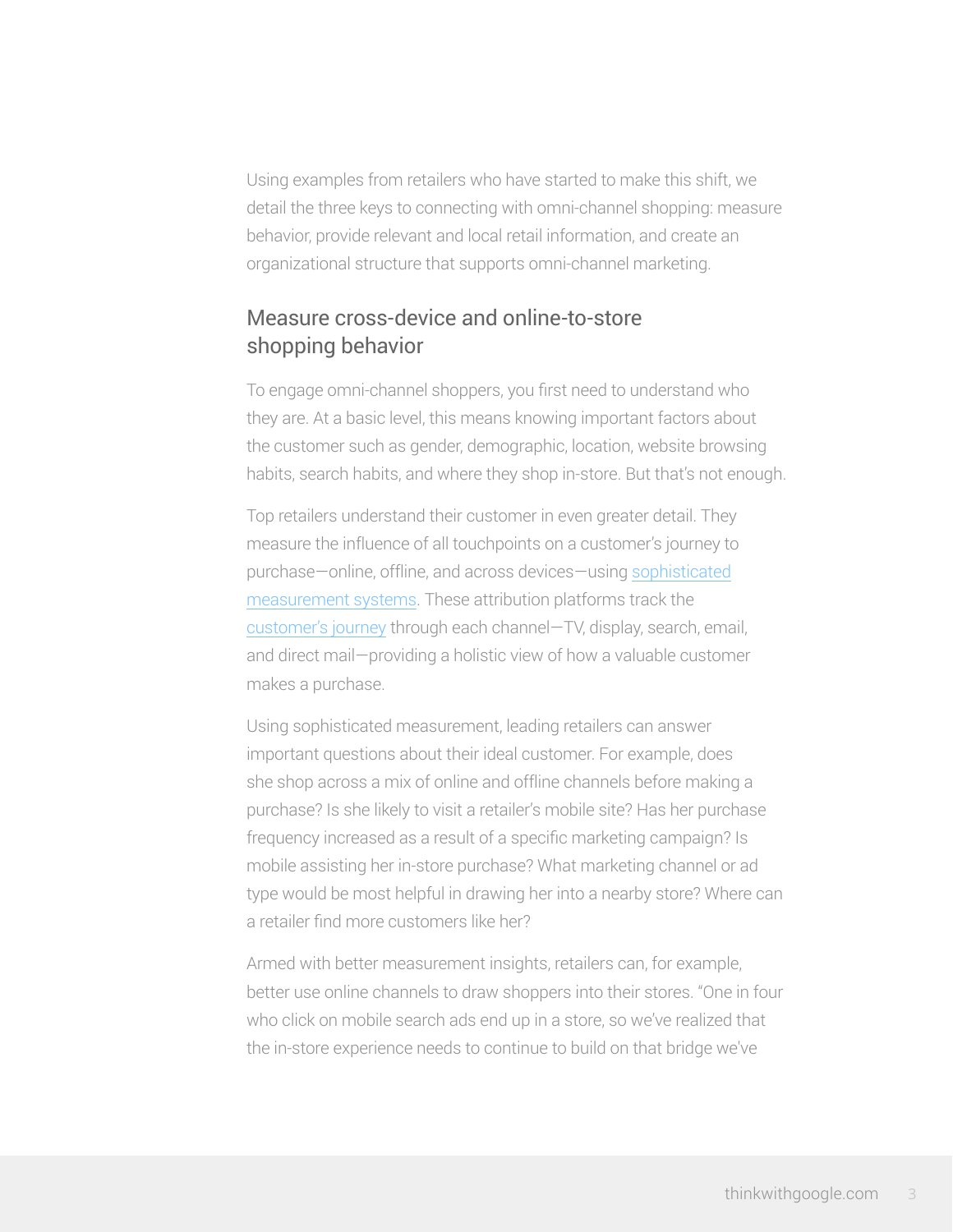Using examples from retailers who have started to make this shift, we detail the three keys to connecting with omni-channel shopping: measure behavior, provide relevant and local retail information, and create an organizational structure that supports omni-channel marketing.

### Measure cross-device and online-to-store shopping behavior

To engage omni-channel shoppers, you first need to understand who they are. At a basic level, this means knowing important factors about the customer such as gender, demographic, location, website browsing habits, search habits, and where they shop in-store. But that's not enough.

Top retailers understand their customer in even greater detail. They measure the influence of all touchpoints on a customer's journey to purchase—online, offline, and across devices—using [sophisticated](http://www.adometry.com/) [measurement systems.](http://www.adometry.com/) These attribution platforms track the [customer's journey](https://www.thinkwithgoogle.com/tools/customer-journey-to-online-purchase.html#!/the-us/arts-and-entertainment/large/generic-paid-search) through each channel—TV, display, search, email, and direct mail—providing a holistic view of how a valuable customer makes a purchase.

Using sophisticated measurement, leading retailers can answer important questions about their ideal customer. For example, does she shop across a mix of online and offline channels before making a purchase? Is she likely to visit a retailer's mobile site? Has her purchase frequency increased as a result of a specific marketing campaign? Is mobile assisting her in-store purchase? What marketing channel or ad type would be most helpful in drawing her into a nearby store? Where can a retailer find more customers like her?

Armed with better measurement insights, retailers can, for example, better use online channels to draw shoppers into their stores. "One in four who click on mobile search ads end up in a store, so we've realized that the in-store experience needs to continue to build on that bridge we've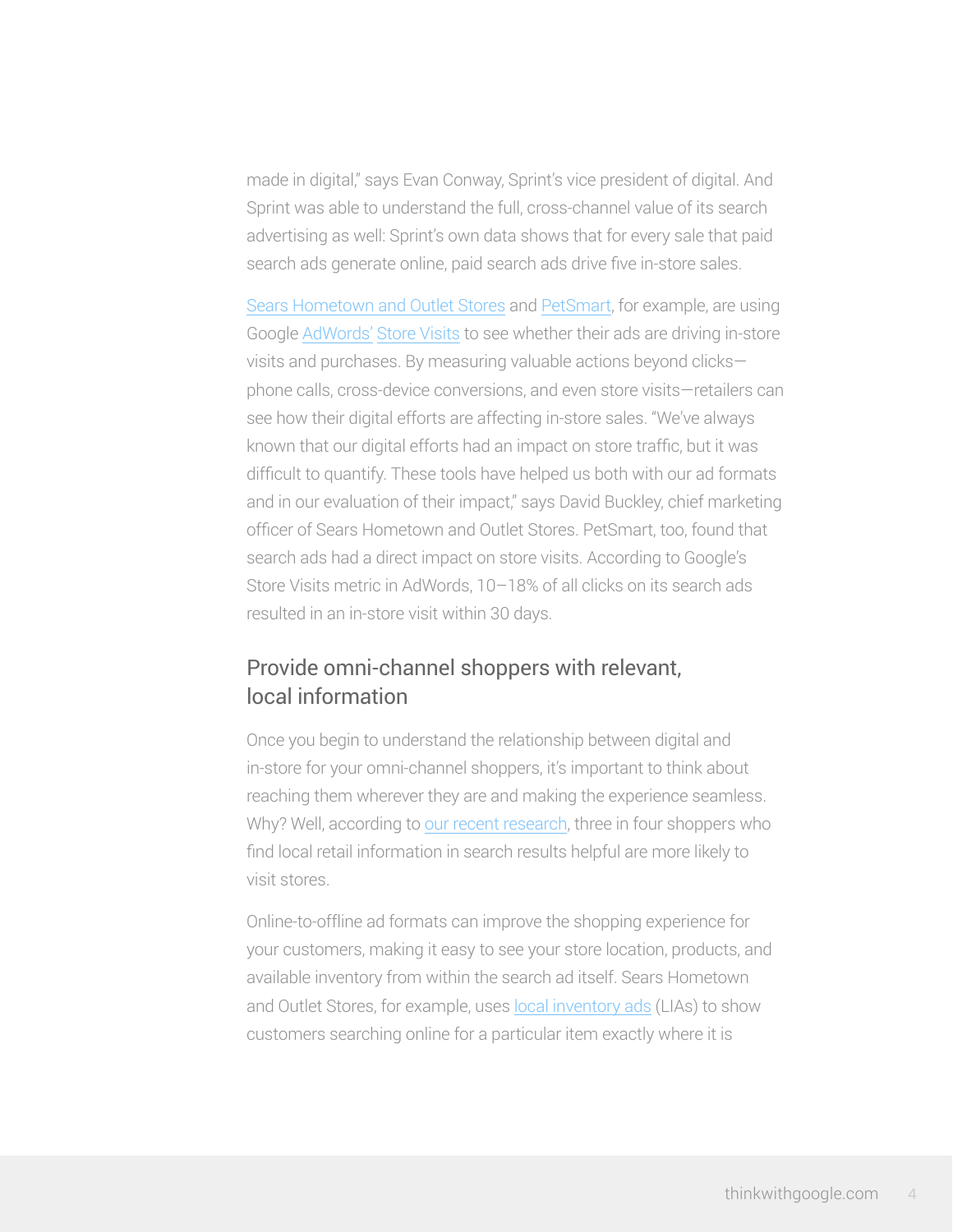made in digital," says Evan Conway, Sprint's vice president of digital. And Sprint was able to understand the full, cross-channel value of its search advertising as well: Sprint's own data shows that for every sale that paid search ads generate online, paid search ads drive five in-store sales.

[Sears Hometown and Outlet](https://www.thinkwithgoogle.com/case-studies/sears-google-local-inventory-ads.html) Stores and [PetSmart,](https://www.thinkwithgoogle.com/case-studies/adwords-store-visits-helps-petsmart-measure-in-store-traffic.html) for example, are using Google AdWords' [Store Visits](http://adwords.blogspot.com/2014/12/measure-more-improving-estimated-total.html) to see whether their ads are driving in-store visits and purchases. By measuring valuable actions beyond clicks phone calls, cross-device conversions, and even store visits—retailers can see how their digital efforts are affecting in-store sales. "We've always known that our digital efforts had an impact on store traffic, but it was difficult to quantify. These tools have helped us both with our ad formats and in our evaluation of their impact," says David Buckley, chief marketing officer of Sears Hometown and Outlet Stores. PetSmart, too, found that search ads had a direct impact on store visits. According to Google's Store Visits metric in AdWords, 10–18% of all clicks on its search ads resulted in an in-store visit within 30 days.

#### Provide omni-channel shoppers with relevant, local information

Once you begin to understand the relationship between digital and in-store for your omni-channel shoppers, it's important to think about reaching them wherever they are and making the experience seamless. Why? Well, according to [our recent research,](https://www.thinkwithgoogle.com/research-studies/digital-impact-on-in-store-shopping.html) three in four shoppers who find local retail information in search results helpful are more likely to visit stores.

Online-to-offline ad formats can improve the shopping experience for your customers, making it easy to see your store location, products, and available inventory from within the search ad itself. Sears Hometown and Outlet Stores, for example, uses [local inventory ads](https://support.google.com/merchants/answer/3057972?hl=en) (LIAs) to show customers searching online for a particular item exactly where it is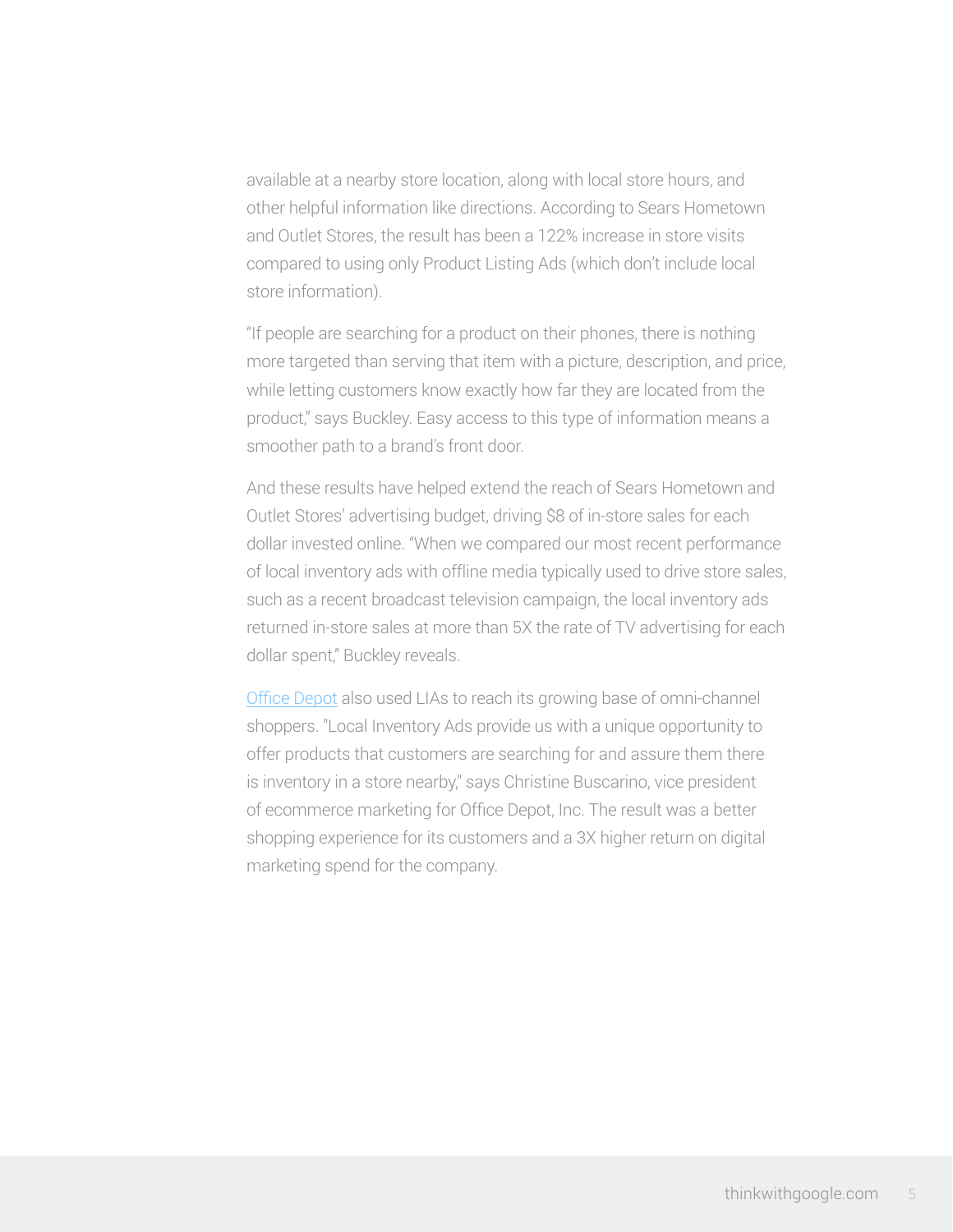available at a nearby store location, along with local store hours, and other helpful information like directions. According to Sears Hometown and Outlet Stores, the result has been a 122% increase in store visits compared to using only Product Listing Ads (which don't include local store information).

"If people are searching for a product on their phones, there is nothing more targeted than serving that item with a picture, description, and price, while letting customers know exactly how far they are located from the product," says Buckley. Easy access to this type of information means a smoother path to a brand's front door.

And these results have helped extend the reach of Sears Hometown and Outlet Stores' advertising budget, driving \$8 of in-store sales for each dollar invested online. "When we compared our most recent performance of local inventory ads with offline media typically used to drive store sales, such as a recent broadcast television campaign, the local inventory ads returned in-store sales at more than 5X the rate of TV advertising for each dollar spent," Buckley reveals.

[Office Depot](https://www.thinkwithgoogle.com/case-studies/office-depot-local-inventory-ads.html) also used LIAs to reach its growing base of omni-channel shoppers. "Local Inventory Ads provide us with a unique opportunity to offer products that customers are searching for and assure them there is inventory in a store nearby," says Christine Buscarino, vice president of ecommerce marketing for Office Depot, Inc. The result was a better shopping experience for its customers and a 3X higher return on digital marketing spend for the company.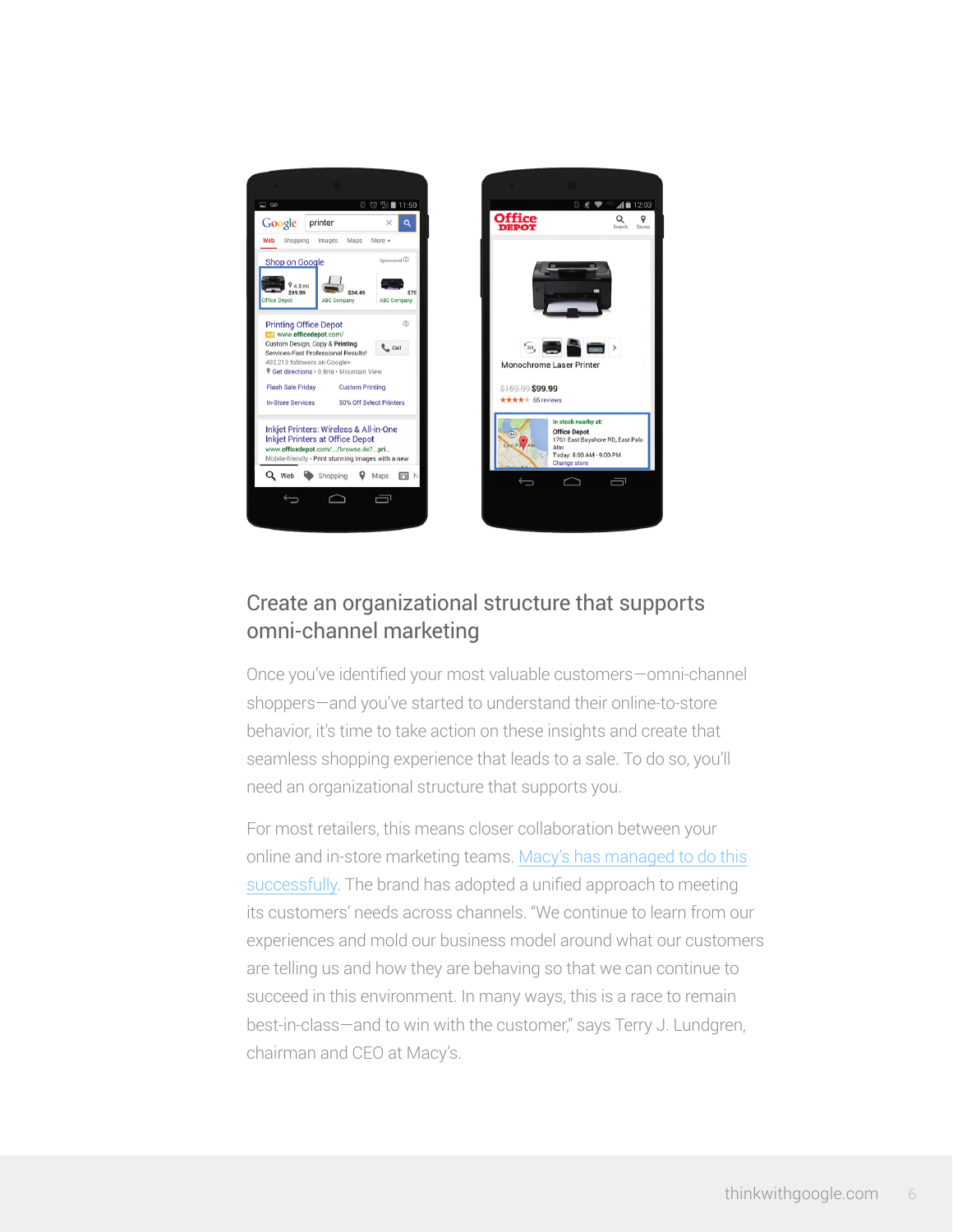

## Create an organizational structure that supports omni-channel marketing

 $-41$   $-12:03$ 

 $Q \qquad Q$ 

 $\Box$ 

Once you've identified your most valuable customers—omni-channel shoppers—and you've started to understand their online-to-store behavior, it's time to take action on these insights and create that seamless shopping experience that leads to a sale. To do so, you'll need an organizational structure that supports you.

For most retailers, this means closer collaboration between your online and in-store marketing teams. [Macy's has managed to do this](http://phx.corporate-ir.net/phoenix.zhtml?c=84477&p=irol-newsArticle&ID=2005216) [successfully.](http://phx.corporate-ir.net/phoenix.zhtml?c=84477&p=irol-newsArticle&ID=2005216) The brand has adopted a unified approach to meeting its customers' needs across channels. "We continue to learn from our experiences and mold our business model around what our customers are telling us and how they are behaving so that we can continue to succeed in this environment. In many ways, this is a race to remain best-in-class—and to win with the customer," says Terry J. Lundgren, chairman and CEO at Macy's.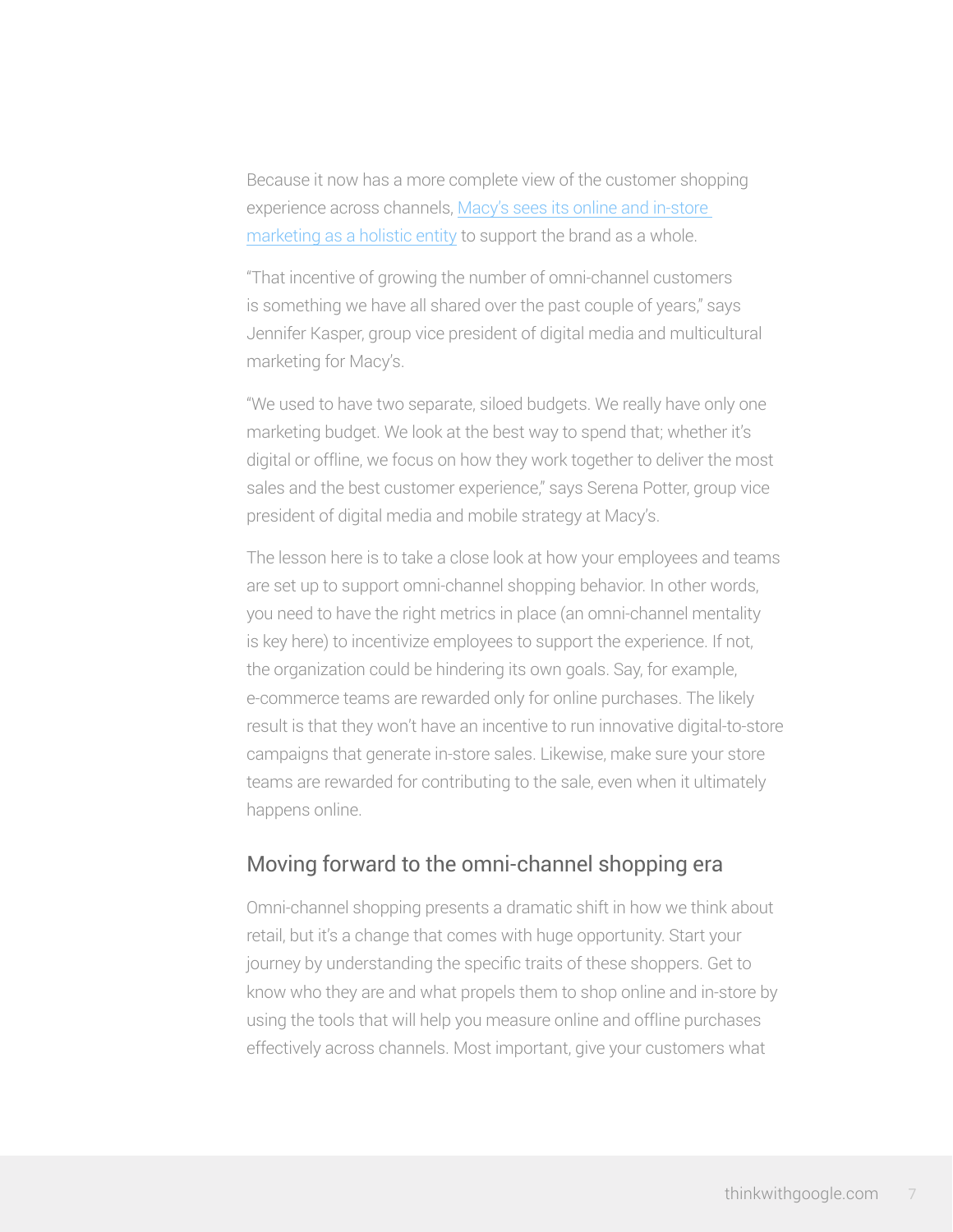Because it now has a more complete view of the customer shopping experience across channels, [Macy's sees its online and in-store](https://www.thinkwithgoogle.com/interviews/macys-goes-omni-channel.html)  [marketing as a holistic entity](https://www.thinkwithgoogle.com/interviews/macys-goes-omni-channel.html) to support the brand as a whole.

"That incentive of growing the number of omni-channel customers is something we have all shared over the past couple of years," says Jennifer Kasper, group vice president of digital media and multicultural marketing for Macy's.

"We used to have two separate, siloed budgets. We really have only one marketing budget. We look at the best way to spend that; whether it's digital or offline, we focus on how they work together to deliver the most sales and the best customer experience," says Serena Potter, group vice president of digital media and mobile strategy at Macy's.

The lesson here is to take a close look at how your employees and teams are set up to support omni-channel shopping behavior. In other words, you need to have the right metrics in place (an omni-channel mentality is key here) to incentivize employees to support the experience. If not, the organization could be hindering its own goals. Say, for example, e-commerce teams are rewarded only for online purchases. The likely result is that they won't have an incentive to run innovative digital-to-store campaigns that generate in-store sales. Likewise, make sure your store teams are rewarded for contributing to the sale, even when it ultimately happens online.

#### Moving forward to the omni-channel shopping era

Omni-channel shopping presents a dramatic shift in how we think about retail, but it's a change that comes with huge opportunity. Start your journey by understanding the specific traits of these shoppers. Get to know who they are and what propels them to shop online and in-store by using the tools that will help you measure online and offline purchases effectively across channels. Most important, give your customers what